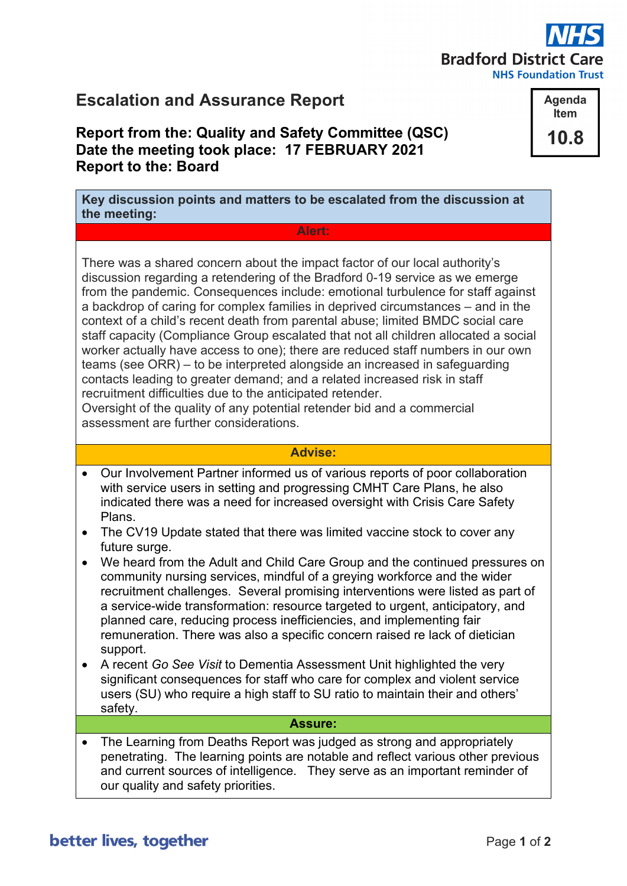# **Bradford District Care**

**NHS Foundation Trust** 

Agenda **Item** 

10.8

## **Escalation and Assurance Report**

### **Report from the: Quality and Safety Committee (QSC) Date the meeting took place: 17 FEBRUARY 2021 Report to the: Board**

**Key discussion points and matters to be escalated from the discussion at the meeting:**

**Alert:**

There was a shared concern about the impact factor of our local authority's discussion regarding a retendering of the Bradford 0-19 service as we emerge from the pandemic. Consequences include: emotional turbulence for staff against a backdrop of caring for complex families in deprived circumstances – and in the context of a child's recent death from parental abuse; limited BMDC social care staff capacity (Compliance Group escalated that not all children allocated a social worker actually have access to one); there are reduced staff numbers in our own teams (see ORR) – to be interpreted alongside an increased in safeguarding contacts leading to greater demand; and a related increased risk in staff recruitment difficulties due to the anticipated retender.

Oversight of the quality of any potential retender bid and a commercial assessment are further considerations.

#### **Advise:**

- Our Involvement Partner informed us of various reports of poor collaboration with service users in setting and progressing CMHT Care Plans, he also indicated there was a need for increased oversight with Crisis Care Safety Plans.
- The CV19 Update stated that there was limited vaccine stock to cover any future surge.
- We heard from the Adult and Child Care Group and the continued pressures on community nursing services, mindful of a greying workforce and the wider recruitment challenges. Several promising interventions were listed as part of a service-wide transformation: resource targeted to urgent, anticipatory, and planned care, reducing process inefficiencies, and implementing fair remuneration. There was also a specific concern raised re lack of dietician support.
- A recent *Go See Visit* to Dementia Assessment Unit highlighted the very significant consequences for staff who care for complex and violent service users (SU) who require a high staff to SU ratio to maintain their and others' safety.

#### **Assure:**

• The Learning from Deaths Report was judged as strong and appropriately penetrating. The learning points are notable and reflect various other previous and current sources of intelligence. They serve as an important reminder of our quality and safety priorities.